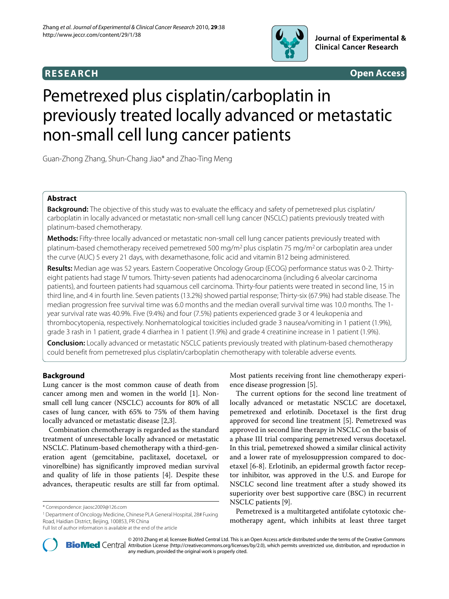## **RESEARCH Open Access**



# Pemetrexed plus cisplatin/carboplatin in previously treated locally advanced or metastatic non-small cell lung cancer patients

Guan-Zhong Zhang, Shun-Chang Jiao\* and Zhao-Ting Meng

## **Abstract**

**Background:** The objective of this study was to evaluate the efficacy and safety of pemetrexed plus cisplatin/ carboplatin in locally advanced or metastatic non-small cell lung cancer (NSCLC) patients previously treated with platinum-based chemotherapy.

**Methods:** Fifty-three locally advanced or metastatic non-small cell lung cancer patients previously treated with platinum-based chemotherapy received pemetrexed 500 mg/m2 plus cisplatin 75 mg/m2 or carboplatin area under the curve (AUC) 5 every 21 days, with dexamethasone, folic acid and vitamin B12 being administered.

**Results:** Median age was 52 years. Eastern Cooperative Oncology Group (ECOG) performance status was 0-2. Thirtyeight patients had stage IV tumors. Thirty-seven patients had adenocarcinoma (including 6 alveolar carcinoma patients), and fourteen patients had squamous cell carcinoma. Thirty-four patients were treated in second line, 15 in third line, and 4 in fourth line. Seven patients (13.2%) showed partial response; Thirty-six (67.9%) had stable disease. The median progression free survival time was 6.0 months and the median overall survival time was 10.0 months. The 1 year survival rate was 40.9%. Five (9.4%) and four (7.5%) patients experienced grade 3 or 4 leukopenia and thrombocytopenia, respectively. Nonhematological toxicities included grade 3 nausea/vomiting in 1 patient (1.9%), grade 3 rash in 1 patient, grade 4 diarrhea in 1 patient (1.9%) and grade 4 creatinine increase in 1 patient (1.9%).

**Conclusion:** Locally advanced or metastatic NSCLC patients previously treated with platinum-based chemotherapy could benefit from pemetrexed plus cisplatin/carboplatin chemotherapy with tolerable adverse events.

## **Background**

Lung cancer is the most common cause of death from cancer among men and women in the world [[1\]](#page-5-0). Nonsmall cell lung cancer (NSCLC) accounts for 80% of all cases of lung cancer, with 65% to 75% of them having locally advanced or metastatic disease [[2,](#page-5-1)[3\]](#page-5-2).

Combination chemotherapy is regarded as the standard treatment of unresectable locally advanced or metastatic NSCLC. Platinum-based chemotherapy with a third-generation agent (gemcitabine, paclitaxel, docetaxel, or vinorelbine) has significantly improved median survival and quality of life in those patients [\[4](#page-5-3)]. Despite these advances, therapeutic results are still far from optimal.

Most patients receiving front line chemotherapy experience disease progression [[5\]](#page-5-4).

The current options for the second line treatment of locally advanced or metastatic NSCLC are docetaxel, pemetrexed and erlotinib. Docetaxel is the first drug approved for second line treatment [\[5](#page-5-4)]. Pemetrexed was approved in second line therapy in NSCLC on the basis of a phase III trial comparing pemetrexed versus docetaxel. In this trial, pemetrexed showed a similar clinical activity and a lower rate of myelosuppression compared to docetaxel [[6-](#page-5-5)[8\]](#page-5-6). Erlotinib, an epidermal growth factor receptor inhibitor, was approved in the U.S. and Europe for NSCLC second line treatment after a study showed its superiority over best supportive care (BSC) in recurrent NSCLC patients [\[9\]](#page-5-7).

Pemetrexed is a multitargeted antifolate cytotoxic chemotherapy agent, which inhibits at least three target



2010 Zhang et al; licensee [BioMed](http://www.biomedcentral.com/) Central Ltd. This is an Open Access article distributed under the terms of the Creative Commons (http://creativecommons.org/licenses/by/2.0), which permits unrestricted use, distribution, any medium, provided the original work is properly cited.

<sup>\*</sup> Correspondence: jiaosc2009@126.com

<sup>1</sup> Department of Oncology Medicine, Chinese PLA General Hospital, 28# Fuxing Road, Haidian District, Beijing, 100853, PR China

Full list of author information is available at the end of the article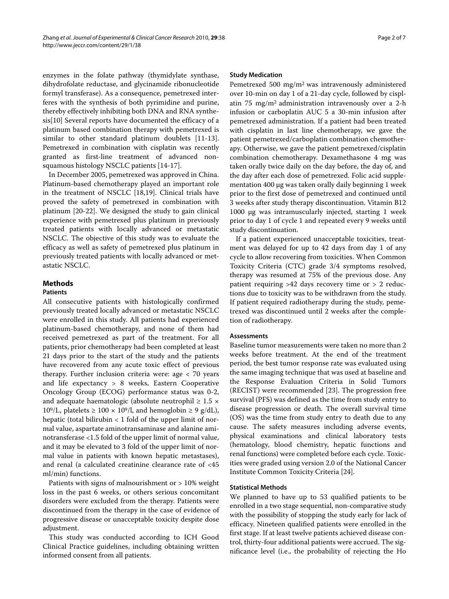enzymes in the folate pathway (thymidylate synthase, dihydrofolate reductase, and glycinamide ribonucleotide formyl transferase). As a consequence, pemetrexed interferes with the synthesis of both pyrimidine and purine, thereby effectively inhibiting both DNA and RNA synthesis[\[10](#page-5-8)] Several reports have documented the efficacy of a platinum based combination therapy with pemetrexed is similar to other standard platinum doublets [[11](#page-5-9)[-13](#page-5-10)]. Pemetrexed in combination with cisplatin was recently granted as first-line treatment of advanced nonsquamous histology NSCLC patients [\[14](#page-5-11)-[17\]](#page-5-12).

In December 2005, pemetrexed was approved in China. Platinum-based chemotherapy played an important role in the treatment of NSCLC [[18](#page-5-13),[19\]](#page-6-0). Clinical trials have proved the safety of pemetrexed in combination with platinum [[20](#page-6-1)[-22](#page-6-2)]. We designed the study to gain clinical experience with pemetrexed plus platinum in previously treated patients with locally advanced or metastatic NSCLC. The objective of this study was to evaluate the efficacy as well as safety of pemetrexed plus platinum in previously treated patients with locally advanced or metastatic NSCLC.

## **Methods**

## **Patients**

All consecutive patients with histologically confirmed previously treated locally advanced or metastatic NSCLC were enrolled in this study. All patients had experienced platinum-based chemotherapy, and none of them had received pemetrexed as part of the treatment. For all patients, prior chemotherapy had been completed at least 21 days prior to the start of the study and the patients have recovered from any acute toxic effect of previous therapy. Further inclusion criteria were: age < 70 years and life expectancy > 8 weeks, Eastern Cooperative Oncology Group (ECOG) performance status was 0-2, and adequate haematologic (absolute neutrophil  $\geq 1.5 \times$  $10^9$ /L, platelets  $\geq 100 \times 10^9$ /l, and hemoglobin  $\geq 9$  g/dL), hepatic (total bilirubin < 1 fold of the upper limit of normal value, aspartate aminotransaminase and alanine aminotransferase <1.5 fold of the upper limit of normal value, and it may be elevated to 3 fold of the upper limit of normal value in patients with known hepatic metastases), and renal (a calculated creatinine clearance rate of <45 ml/min) functions.

Patients with signs of malnourishment or > 10% weight loss in the past 6 weeks, or others serious concomitant disorders were excluded from the therapy. Patients were discontinued from the therapy in the case of evidence of progressive disease or unacceptable toxicity despite dose adjustment.

This study was conducted according to ICH Good Clinical Practice guidelines, including obtaining written informed consent from all patients.

#### **Study Medication**

Pemetrexed 500 mg/m2 was intravenously administered over 10-min on day 1 of a 21-day cycle, followed by cisplatin 75 mg/m2 administration intravenously over a 2-h infusion or carboplatin AUC 5 a 30-min infusion after pemetrexed administration. If a patient had been treated with cisplatin in last line chemotherapy, we gave the patient pemetrexed/carboplatin combination chemotherapy. Otherwise, we gave the patient pemetrexed/cisplatin combination chemotherapy. Dexamethasone 4 mg was taken orally twice daily on the day before, the day of, and the day after each dose of pemetrexed. Folic acid supplementation 400 μg was taken orally daily beginning 1 week prior to the first dose of pemetrexed and continued until 3 weeks after study therapy discontinuation. Vitamin B12 1000 μg was intramuscularly injected, starting 1 week prior to day 1 of cycle 1 and repeated every 9 weeks until study discontinuation.

If a patient experienced unacceptable toxicities, treatment was delayed for up to 42 days from day 1 of any cycle to allow recovering from toxicities. When Common Toxicity Criteria (CTC) grade 3/4 symptoms resolved, therapy was resumed at 75% of the previous dose. Any patient requiring >42 days recovery time or > 2 reductions due to toxicity was to be withdrawn from the study. If patient required radiotherapy during the study, pemetrexed was discontinued until 2 weeks after the completion of radiotherapy.

## **Assessments**

Baseline tumor measurements were taken no more than 2 weeks before treatment. At the end of the treatment period, the best tumor response rate was evaluated using the same imaging technique that was used at baseline and the Response Evaluation Criteria in Solid Tumors (RECIST) were recommended [\[23\]](#page-6-3). The progression free survival (PFS) was defined as the time from study entry to disease progression or death. The overall survival time (OS) was the time from study entry to death due to any cause. The safety measures including adverse events, physical examinations and clinical laboratory tests (hematology, blood chemistry, hepatic functions and renal functions) were completed before each cycle. Toxicities were graded using version 2.0 of the National Cancer Institute Common Toxicity Criteria [\[24](#page-6-4)].

## **Statistical Methods**

We planned to have up to 53 qualified patients to be enrolled in a two stage sequential, non-comparative study with the possibility of stopping the study early for lack of efficacy. Nineteen qualified patients were enrolled in the first stage. If at least twelve patients achieved disease control, thirty-four additional patients were accrued. The significance level (i.e., the probability of rejecting the Ho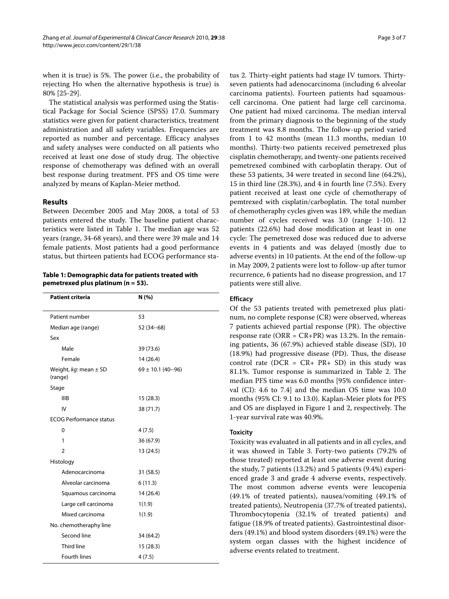when it is true) is 5%. The power (i.e., the probability of rejecting Ho when the alternative hypothesis is true) is 80% [[25-](#page-6-5)[29](#page-6-6)].

The statistical analysis was performed using the Statistical Package for Social Science (SPSS) 17.0. Summary statistics were given for patient characteristics, treatment administration and all safety variables. Frequencies are reported as number and percentage. Efficacy analyses and safety analyses were conducted on all patients who received at least one dose of study drug. The objective response of chemotherapy was defined with an overall best response during treatment. PFS and OS time were analyzed by means of Kaplan-Meier method.

#### **Results**

Between December 2005 and May 2008, a total of 53 patients entered the study. The baseline patient characteristics were listed in Table 1. The median age was 52 years (range, 34-68 years), and there were 39 male and 14 female patients. Most patients had a good performance status, but thirteen patients had ECOG performance sta-

**Table 1: Demographic data for patients treated with pemetrexed plus platinum (n = 53).**

| <b>Patient criteria</b>                 | N (%)                  |
|-----------------------------------------|------------------------|
| Patient number                          | 53                     |
| Median age (range)                      | 52 (34 -- 68)          |
| Sex                                     |                        |
|                                         |                        |
| Male                                    | 39 (73.6)              |
| Female                                  | 14 (26.4)              |
| Weight, $kg$ : mean $\pm$ SD<br>(range) | $69 \pm 10.1$ (40--96) |
| Stage                                   |                        |
| <b>IIIB</b>                             | 15(28.3)               |
| IV                                      | 38 (71.7)              |
| <b>ECOG Performance status</b>          |                        |
| 0                                       | 4(7.5)                 |
| 1                                       | 36 (67.9)              |
| $\overline{2}$                          | 13 (24.5)              |
| Histology                               |                        |
| Adenocarcinoma                          | 31 (58.5)              |
| Alveolar carcinoma                      | 6(11.3)                |
| Squamous carcinoma                      | 14 (26.4)              |
| Large cell carcinoma                    | 1(1.9)                 |
| Mixed carcinoma                         | 1(1.9)                 |
| No. chemotheraphy line                  |                        |
| Second line                             | 34 (64.2)              |
| Third line                              | 15 (28.3)              |
| <b>Fourth lines</b>                     | 4(7.5)                 |

tus 2. Thirty-eight patients had stage IV tumors. Thirtyseven patients had adenocarcinoma (including 6 alveolar carcinoma patients). Fourteen patients had squamouscell carcinoma. One patient had large cell carcinoma. One patient had mixed carcinoma. The median interval from the primary diagnosis to the beginning of the study treatment was 8.8 months. The follow-up period varied from 1 to 42 months (mean 11.3 months, median 10 months). Thirty-two patients received pemetrexed plus cisplatin chemotherapy, and twenty-one patients received pemetrexed combined with carboplatin therapy. Out of these 53 patients, 34 were treated in second line (64.2%), 15 in third line (28.3%), and 4 in fourth line (7.5%). Every patient received at least one cycle of chemotherapy of pemtrexed with cisplatin/carboplatin. The total number of chemotheraphy cycles given was 189, while the median number of cycles received was 3.0 (range 1-10). 12 patients (22.6%) had dose modification at least in one cycle: The pemetrexed dose was reduced due to adverse events in 4 patients and was delayed (mostly due to adverse events) in 10 patients. At the end of the follow-up in May 2009, 2 patients were lost to follow-up after tumor recurrence, 6 patients had no disease progression, and 17 patients were still alive.

## **Efficacy**

Of the 53 patients treated with pemetrexed plus platinum, no complete response (CR) were observed, whereas 7 patients achieved partial response (PR). The objective response rate (ORR =  $CR+PR$ ) was 13.2%. In the remaining patients, 36 (67.9%) achieved stable disease (SD), 10 (18.9%) had progressive disease (PD). Thus, the disease control rate ( $DCR = CR + PR + SD$ ) in this study was 81.1%. Tumor response is summarized in Table 2. The median PFS time was 6.0 months [95% confidence interval (CI): 4.6 to 7.4] and the median OS time was 10.0 months (95% CI: 9.1 to 13.0). Kaplan-Meier plots for PFS and OS are displayed in Figure [1](#page-3-0) and [2,](#page-3-1) respectively. The 1-year survival rate was 40.9%.

## **Toxicity**

Toxicity was evaluated in all patients and in all cycles, and it was showed in Table 3. Forty-two patients (79.2% of those treated) reported at least one adverse event during the study, 7 patients (13.2%) and 5 patients (9.4%) experienced grade 3 and grade 4 adverse events, respectively. The most common adverse events were leucopenia (49.1% of treated patients), nausea/vomiting (49.1% of treated patients), Neutropenia (37.7% of treated patients), Thrombocytopenia (32.1% of treated patients) and fatigue (18.9% of treated patients). Gastrointestinal disorders (49.1%) and blood system disorders (49.1%) were the system organ classes with the highest incidence of adverse events related to treatment.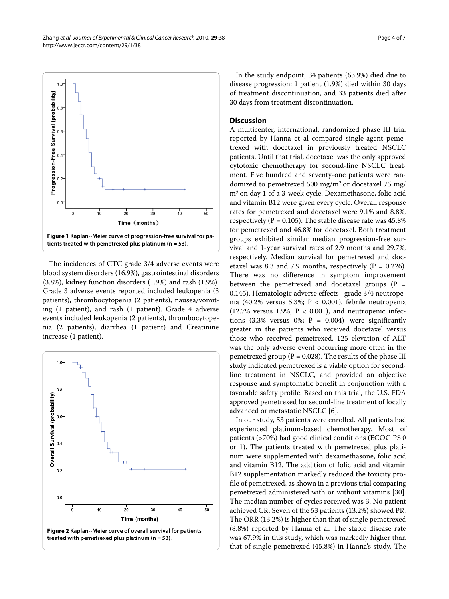<span id="page-3-0"></span>

The incidences of CTC grade 3/4 adverse events were blood system disorders (16.9%), gastrointestinal disorders (3.8%), kidney function disorders (1.9%) and rash (1.9%). Grade 3 adverse events reported included leukopenia (3 patients), thrombocytopenia (2 patients), nausea/vomiting (1 patient), and rash (1 patient). Grade 4 adverse events included leukopenia (2 patients), thrombocytopenia (2 patients), diarrhea (1 patient) and Creatinine increase (1 patient).

<span id="page-3-1"></span>

In the study endpoint, 34 patients (63.9%) died due to disease progression: 1 patient (1.9%) died within 30 days of treatment discontinuation, and 33 patients died after 30 days from treatment discontinuation.

#### **Discussion**

A multicenter, international, randomized phase III trial reported by Hanna et al compared single-agent pemetrexed with docetaxel in previously treated NSCLC patients. Until that trial, docetaxel was the only approved cytotoxic chemotherapy for second-line NSCLC treatment. Five hundred and seventy-one patients were randomized to pemetrexed 500 mg/m2 or docetaxel 75 mg/ m2 on day 1 of a 3-week cycle. Dexamethasone, folic acid and vitamin B12 were given every cycle. Overall response rates for pemetrexed and docetaxel were 9.1% and 8.8%, respectively ( $P = 0.105$ ). The stable disease rate was 45.8% for pemetrexed and 46.8% for docetaxel. Both treatment groups exhibited similar median progression-free survival and 1-year survival rates of 2.9 months and 29.7%, respectively. Median survival for pemetrexed and docetaxel was 8.3 and 7.9 months, respectively ( $P = 0.226$ ). There was no difference in symptom improvement between the pemetrexed and docetaxel groups  $(P =$ 0.145). Hematologic adverse effects--grade 3/4 neutropenia (40.2% versus 5.3%; P < 0.001), febrile neutropenia (12.7% versus 1.9%;  $P < 0.001$ ), and neutropenic infections  $(3.3\%$  versus  $0\%$ ; P = 0.004)--were significantly greater in the patients who received docetaxel versus those who received pemetrexed. 125 elevation of ALT was the only adverse event occurring more often in the pemetrexed group ( $P = 0.028$ ). The results of the phase III study indicated pemetrexed is a viable option for secondline treatment in NSCLC, and provided an objective response and symptomatic benefit in conjunction with a favorable safety profile. Based on this trial, the U.S. FDA approved pemetrexed for second-line treatment of locally advanced or metastatic NSCLC [[6\]](#page-5-5).

In our study, 53 patients were enrolled. All patients had experienced platinum-based chemotherapy. Most of patients (>70%) had good clinical conditions (ECOG PS 0 or 1). The patients treated with pemetrexed plus platinum were supplemented with dexamethasone, folic acid and vitamin B12. The addition of folic acid and vitamin B12 supplementation markedly reduced the toxicity profile of pemetrexed, as shown in a previous trial comparing pemetrexed administered with or without vitamins [\[30](#page-6-7)]. The median number of cycles received was 3. No patient achieved CR. Seven of the 53 patients (13.2%) showed PR. The ORR (13.2%) is higher than that of single pemetrexed (8.8%) reported by Hanna et al. The stable disease rate was 67.9% in this study, which was markedly higher than that of single pemetrexed (45.8%) in Hanna's study. The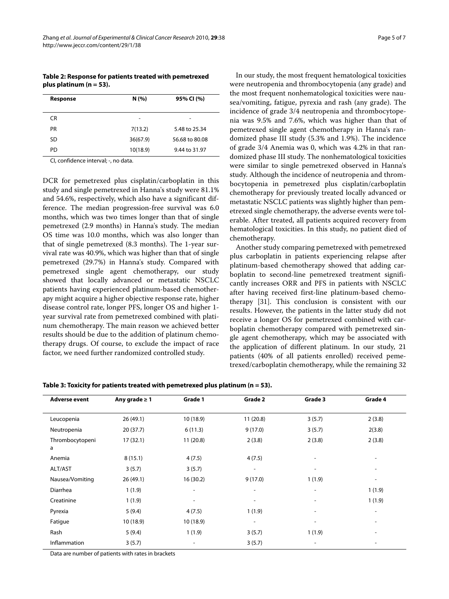**Table 2: Response for patients treated with pemetrexed** 

| nesponse | <b>IV (70)</b> | $3370$ CI (70) |
|----------|----------------|----------------|
| CR       |                | -              |
| PR       | 7(13.2)        | 5.48 to 25.34  |
| SD       | 36(67.9)       | 56.68 to 80.08 |
| PD       | 10(18.9)       | 9.44 to 31.97  |
|          |                |                |

CI, confidence interval; -, no data.

DCR for pemetrexed plus cisplatin/carboplatin in this study and single pemetrexed in Hanna's study were 81.1% and 54.6%, respectively, which also have a significant difference. The median progression-free survival was 6.0 months, which was two times longer than that of single pemetrexed (2.9 months) in Hanna's study. The median OS time was 10.0 months, which was also longer than that of single pemetrexed (8.3 months). The 1-year survival rate was 40.9%, which was higher than that of single pemetrexed (29.7%) in Hanna's study. Compared with pemetrexed single agent chemotherapy, our study showed that locally advanced or metastatic NSCLC patients having experienced platinum-based chemotherapy might acquire a higher objective response rate, higher disease control rate, longer PFS, longer OS and higher 1 year survival rate from pemetrexed combined with platinum chemotherapy. The main reason we achieved better results should be due to the addition of platinum chemotherapy drugs. Of course, to exclude the impact of race factor, we need further randomized controlled study.

In our study, the most frequent hematological toxicities were neutropenia and thrombocytopenia (any grade) and the most frequent nonhematological toxicities were nausea/vomiting, fatigue, pyrexia and rash (any grade). The incidence of grade 3/4 neutropenia and thrombocytopenia was 9.5% and 7.6%, which was higher than that of pemetrexed single agent chemotherapy in Hanna's randomized phase III study (5.3% and 1.9%). The incidence of grade 3/4 Anemia was 0, which was 4.2% in that randomized phase III study. The nonhematological toxicities were similar to single pemetrexed observed in Hanna's study. Although the incidence of neutropenia and thrombocytopenia in pemetrexed plus cisplatin/carboplatin chemotherapy for previously treated locally advanced or metastatic NSCLC patients was slightly higher than pemetrexed single chemotherapy, the adverse events were tolerable. After treated, all patients acquired recovery from hematological toxicities. In this study, no patient died of chemotherapy.

Another study comparing pemetrexed with pemetrexed plus carboplatin in patients experiencing relapse after platinum-based chemotherapy showed that adding carboplatin to second-line pemetrexed treatment significantly increases ORR and PFS in patients with NSCLC after having received first-line platinum-based chemotherapy [[31\]](#page-6-8). This conclusion is consistent with our results. However, the patients in the latter study did not receive a longer OS for pemetrexed combined with carboplatin chemotherapy compared with pemetrexed single agent chemotherapy, which may be associated with the application of different platinum. In our study, 21 patients (40% of all patients enrolled) received pemetrexed/carboplatin chemotherapy, while the remaining 32

| <b>Adverse event</b> | Any grade $\geq 1$ | Grade 1        | Grade 2                  | Grade 3                  | Grade 4                  |
|----------------------|--------------------|----------------|--------------------------|--------------------------|--------------------------|
|                      |                    |                |                          |                          |                          |
| Leucopenia           | 26(49.1)           | 10(18.9)       | 11(20.8)                 | 3(5.7)                   | 2(3.8)                   |
| Neutropenia          | 20(37.7)           | 6(11.3)        | 9(17.0)                  | 3(5.7)                   | 2(3.8)                   |
| Thrombocytopeni      | 17(32.1)           | 11(20.8)       | 2(3.8)                   | 2(3.8)                   | 2(3.8)                   |
| a                    |                    |                |                          |                          |                          |
| Anemia               | 8(15.1)            | 4(7.5)         | 4(7.5)                   | ٠.                       | $\overline{\phantom{a}}$ |
| ALT/AST              | 3(5.7)             | 3(5.7)         | $\overline{\phantom{a}}$ | $\overline{\phantom{a}}$ | $\overline{\phantom{a}}$ |
| Nausea/Vomiting      | 26(49.1)           | 16(30.2)       | 9(17.0)                  | 1(1.9)                   | $\overline{\phantom{a}}$ |
| Diarrhea             | 1(1.9)             | $\blacksquare$ | $\overline{\phantom{0}}$ | $\overline{\phantom{a}}$ | 1(1.9)                   |
| Creatinine           | 1(1.9)             | $\blacksquare$ | ۰.                       | ٠                        | 1(1.9)                   |
| Pyrexia              | 5(9.4)             | 4(7.5)         | 1(1.9)                   | $\overline{\phantom{a}}$ | $\overline{\phantom{a}}$ |
| Fatigue              | 10(18.9)           | 10(18.9)       | ٠.                       | ٠.                       | $\overline{\phantom{0}}$ |
|                      |                    |                |                          |                          |                          |

Rash 5 (9.4) 1 (1.9) 3 (5.7) 1 (1.9) 3 (6.7) Inflammation 3 (5.7) - 3 (5.7) - 3 (5.7) - - 3 (5.7)

**Table 3: Toxicity for patients treated with pemetrexed plus platinum (n = 53).**

Data are number of patients with rates in brackets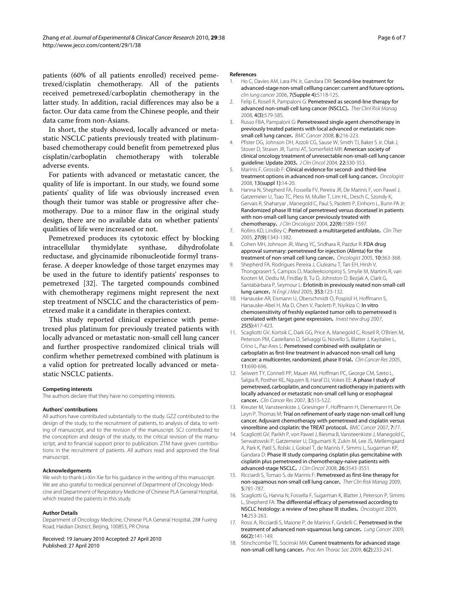patients (60% of all patients enrolled) received pemetrexed/cisplatin chemotherapy. All of the patients received pemetrexed/carboplatin chemotherapy in the latter study. In addition, racial differences may also be a factor. Our data came from the Chinese people, and their data came from non-Asians.

In short, the study showed, locally advanced or metastatic NSCLC patients previously treated with platinumbased chemotherapy could benefit from pemetrexed plus cisplatin/carboplatin chemotherapy with tolerable adverse events.

For patients with advanced or metastatic cancer, the quality of life is important. In our study, we found some patients' quality of life was obviously increased even though their tumor was stable or progressive after chemotherapy. Due to a minor flaw in the original study design, there are no available data on whether patients' qualities of life were increased or not.

Pemetrexed produces its cytotoxic effect by blocking intracellular thymidylate synthase, dihydrofolate reductase, and glycinamide ribonucleotide formyl transferase. A deeper knowledge of those target enzymes may be used in the future to identify patients' responses to pemetrexed [[32\]](#page-6-9). The targeted compounds combined with chemotherapy regimens might represent the next step treatment of NSCLC and the characteristics of pemetrexed make it a candidate in therapies context.

This study reported clinical experience with pemetrexed plus platinum for previously treated patients with locally advanced or metastatic non-small cell lung cancer and further prospective randomized clinical trials will confirm whether pemetrexed combined with platinum is a valid option for pretreated locally advanced or metastatic NSCLC patients.

#### **Competing interests**

The authors declare that they have no competing interests.

#### **Authors' contributions**

All authors have contributed substantially to the study. GZZ contributed to the design of the study, to the recruitment of patients, to analysis of data, to writing of manuscript, and to the revision of the manuscript. SCJ contributed to the conception and design of the study, to the critical revision of the manuscript, and to financial support prior to publication. ZTM have given contributions in the recruitment of patients. All authors read and approved the final manuscript.

#### **Acknowledgements**

We wish to thank Li-Xin Xie for his quidance in the writing of this manuscript. We are also grateful to medical personnel of Department of Oncology Medicine and Department of Respiratory Medicine of Chinese PLA General Hospital, which treated the patients in this study.

#### **Author Details**

Department of Oncology Medicine, Chinese PLA General Hospital, 28# Fuxing Road, Haidian District, Beijing, 100853, PR China

Received: 19 January 2010 Accepted: 27 April 2010 Published: 27 April 2010

#### **References**

- <span id="page-5-0"></span>1. Ho C, Davies AM, Lara PN Jr, Gandara DR: Second-line treatment for advanced-stage non-small celllung cancer: current and future options**.** clin lung cancer 2006, 7(Supple 4):S118-125.
- <span id="page-5-1"></span>2. Felip E, Rosell R, Pampaloni G: Pemetrexed as second-line therapy for advanced non-small-cell lung cancer (NSCLC)**.** Ther Clinl Risk Manag 2008, 4(3):579-585.
- <span id="page-5-2"></span>3. Russo FBA, Pampaloni G: Pemetrexeed single agent chemotherapy in previously treated patients with local advanced or metastatic nonsmall cell lung cancer**[.](http://www.ncbi.nlm.nih.gov/entrez/query.fcgi?cmd=Retrieve&db=PubMed&dopt=Abstract&list_uids=18667090)** BMC Cancer 2008, 8:216-223.
- <span id="page-5-3"></span>4. Pfister DG, Johnson DH, Azzoli CG, Sause W, Smith TJ, Baker S Jr, Olak J, Stover D, Strawn JR, Turrisi AT, Somerfield MR: American society of clinical oncology treatment of unresectable non-small-cell lung cancer guideline: Update 2003**[.](http://www.ncbi.nlm.nih.gov/entrez/query.fcgi?cmd=Retrieve&db=PubMed&dopt=Abstract&list_uids=14691125)** J Clin Oncol 2004, 22:330-353.
- <span id="page-5-4"></span>5. Marinis F, Grossib F: Clinical evidence for second- and third-line treatment options in advanced non-small cell lung cancer**.** Oncologist 2008, 13(suppl 1):14-20.
- <span id="page-5-5"></span>6. Hanna N, Shepherd FA, Fossella FV, Pereira JR, De Marinis F, von Pawel J, Gatzemeier U, Tsao TC, Pless M, Muller T, Lim HL, Desch C, Szondy K, Gervais R, Shaharyar , Manegold C, Paul S, Paoletti P, Einhorn L, Bunn PA Jr: Randomized phase III trial of pemetrexed versus docetaxel in patients with non-small-cell lung cancer previously treated with chemotherapy**.** J Clin Oncologist 2004, 22(9):1589-1597.
- 7. Rollins KD, Lindley C: Pemetrexed: a multitargeted antifolate**.** Clin Ther 2005, 27(9):1343-1382.
- <span id="page-5-6"></span>8. Cohen MH, Johnson JR, Wang YC, Sridhara R, Pazdur R: FDA drug approval summary: pemetrexed for injection (Alimta) for the treatment of non-small cell lung cancer**.** Oncologist 2005, 10:363-368.
- <span id="page-5-7"></span>9. Shepherd FA, Rodrigues Pereira J, Ciuleanu T, Tan EH, Hirsh V, Thongprasert S, Campos D, Maoleekoonpiroj S, Smylie M, Martins R, van Kooten M, Dediu M, Findlay B, Tu D, Johnston D, Bezjak A, Clark G, Santabárbara P, Seymour L: Erlotinib in previously reated non-small-cell lung cancer**.** N Engl J Med 2005, 353:123-132.
- <span id="page-5-8"></span>10. Hanauske AR, Eismann U, Oberschmidt O, Pospisil H, Hoffmann S, Hanauske-Abel H, Ma D, Chen V, Paoletti P, Niyikiza C: In vitro chemosensitivity of freshly explanted tumor cells to pemetrexed is correlated with target gene expression**.** Invest new drug 2007, 25(5):417-423.
- <span id="page-5-9"></span>11. Scagliotti GV, Kortsik C, Dark GG, Price A, Manegold C, Rosell R, O'Brien M, Peterson PM, Castellano D, Selvaggi G, Novello S, Blatter J, Kayitalire L, Crino L, Paz-Ares L: Pemetrexed combined with oxaliplatin or carboplatin as first-line treatment in advanced non-small cell lung cancer: a multicenter, randomized, phase II trial**.** Clin Cancer Res 2005, 11:690-696.
- 12. Seiwert TY, Connell PP, Mauer AM, Hoffman PC, George CM, Szeto L, Salgia R, Posther KE, Nguyen B, Haraf DJ, Vokes EE: A phase I study of pemetrexed, carboplatin, and concurrent radiotherapy in patients with locally advanced or metastatic non-small cell lung or esophageal cancer**.** Clin Cancer Res 2007, 3:515-522.
- <span id="page-5-10"></span>13. Kreuter M, Vansteenkiste J, Griesinger F, Hoffmann H, Dienemann H, De Leyn P, Thomas M: Trial on refinement of early stage non-small cell lung cancer. Adjuvant chemotherapy with pemetrexed and cisplatin versus vinorelbine and cisplatin: the TREAT protocol**.** BMC Cancer 2007, 7:77.
- <span id="page-5-11"></span>14. Scagliotti GV, Parikh P, von Pawel J, Biesma B, Vansteenkiste J, Manegold C, Serwatowski P, Gatzemeier U, Digumarti R, Zukin M, Lee JS, Mellemgaard A, Park K, Patil S, Rolski J, Goksel T, de Marinis F, Simms L, Sugarman KP, Gandara D: Phase III study comparing cisplatin plus gemcitabine with cisplatin plus pemetrexed in chemotherapy-naive patients with advanced-stage NSCLC**.** J Clin Oncol 2008, 26:3543-3551.
- 15. Ricciardi S, Tomao S, de Marinis F: Pemetrexed as first-line therapy for non-squamous non-small cell lung cancer**.** Ther Clin Risk Manag 2009, 5:781-787.
- 16. Scagliotti G, Hanna N, Fossella F, Sugarman K, Blatter J, Peterson P, Simms L, Shepherd FA: The differential efficacy of pemetrexed according to NSCLC histology: a review of two phase III studies**.** Oncologist 2009, 14:253-263.
- <span id="page-5-12"></span>17. Rossi A, Ricciardi S, Maione P, de Marinis F, Gridelli C: Pemetrexed in the treatment of advanced non-squamous lung cancer**.** Lung Cancer 2009, 66(2):141-149.
- <span id="page-5-13"></span>18. Stinchcombe TE, Socinski MA: Current treatments for advanced stage non-small cell lung cancer**.** Proc Am Thorac Soc 2009, 6(2):233-241.